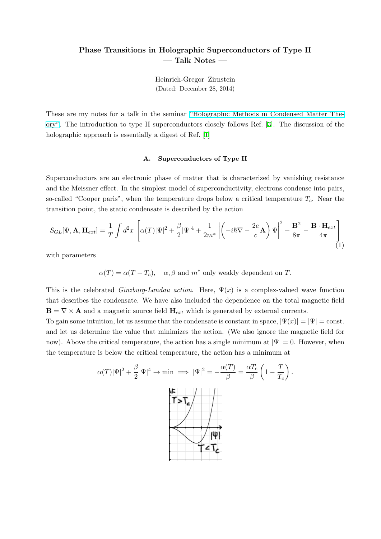## **Phase Transitions in Holographic Superconductors of Type II — Talk Notes —**

Heinrich-Gregor Zirnstein (Dated: December 28, 2014)

These are my notes for a talk in the seminar "Holographic Methods in Condensed Matter Theory". The introduction to type II superconductors closely follows Ref. [3]. The discussion of the holographic approach is essentially a digest of Ref. [1]

## **A. Superconductors of Type II**

Superconductors are an electronic phase of matter that is characterized by vanishing resistance and the Meissner effect. In the simplest model of superconductivity, electrons condense into pairs, so-called "Cooper paris", when the temperature drops below a critical temperature *Tc*. Near the transition point, the static condensate is described by the action

$$
S_{GL}[\Psi, \mathbf{A}, \mathbf{H}_{ext}] = \frac{1}{T} \int d^2 x \left[ \alpha(T) |\Psi|^2 + \frac{\beta}{2} |\Psi|^4 + \frac{1}{2m^*} \left| \left( -i\hbar \nabla - \frac{2e}{c} \mathbf{A} \right) \Psi \right|^2 + \frac{\mathbf{B}^2}{8\pi} - \frac{\mathbf{B} \cdot \mathbf{H}_{ext}}{4\pi} \right] \tag{1}
$$

<span id="page-0-0"></span>with parameters

 $\alpha(T) = \alpha(T - T_c)$ ,  $\alpha, \beta$  and  $m^*$  only weakly dependent on *T*.

This is the celebrated *Ginzburg-Landau action*. Here,  $\Psi(x)$  is a complex-valued wave function that describes the condensate. We have also included the dependence on the total magnetic field  $\mathbf{B} = \nabla \times \mathbf{A}$  and a magnetic source field  $\mathbf{H}_{ext}$  which is generated by external currents.

To gain some intuition, let us assume that the condensate is constant in space,  $|\Psi(x)| = |\Psi| = \text{const.}$ and let us determine the value that minimizes the action. (We also ignore the magnetic field for now). Above the critical temperature, the action has a single minimum at *|*Ψ*|* = 0. However, when the temperature is below the critical temperature, the action has a minimum at

$$
\alpha(T)|\Psi|^2 + \frac{\beta}{2}|\Psi|^4 \to \min \implies |\Psi|^2 = -\frac{\alpha(T)}{\beta} = \frac{\alpha T_c}{\beta} \left(1 - \frac{T}{T_c}\right).
$$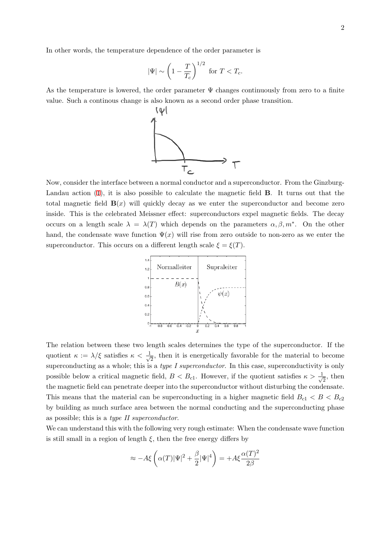In other words, the temperature dependence of the order parameter is

$$
|\Psi| \sim \left(1 - \frac{T}{T_c}\right)^{1/2} \text{ for } T < T_c.
$$

As the temperature is lowered, the order parameter  $\Psi$  changes continuously from zero to a finite value. Such a continous change is also known as a second order phase transition.



Now, consider the interface between a normal conductor and a superconductor. From the Ginzburg-Landau action (1), it is also possible to calculate the magnetic field **B**. It turns out that the total magnetic field  $\mathbf{B}(x)$  will quickly decay as we enter the superconductor and become zero inside. This is the celebrated Meissner effect: superconductors expel magnetic fields. The decay occurs on a len[gt](#page-0-0)h scale  $\lambda = \lambda(T)$  which depends on the parameters  $\alpha, \beta, m^*$ . On the other hand, the condensate wave function  $\Psi(x)$  will rise from zero outside to non-zero as we enter the superconductor. This occurs on a different length scale  $\xi = \xi(T)$ .



The relation between these two length scales determines the type of the superconductor. If the quotient  $\kappa := \lambda/\xi$  satisfies  $\kappa < \frac{1}{\sqrt{\lambda}}$  $\frac{1}{2}$ , then it is energetically favorable for the material to become superconducting as a whole; this is a *type I superconductor*. In this case, superconductivity is only possible below a critical magnetic field,  $B < B<sub>c1</sub>$ . However, if the quotient satisfies  $\kappa > \frac{1}{\sqrt{2}}$  $\frac{1}{2}$ , then the magnetic field can penetrate deeper into the superconductor without disturbing the condensate. This means that the material can be superconducting in a higher magnetic field  $B_{c1} < B < B_{c2}$ by building as much surface area between the normal conducting and the superconducting phase as possible; this is a *type II superconductor*.

We can understand this with the following very rough estimate: When the condensate wave function is still small in a region of length  $\xi$ , then the free energy differs by

$$
\approx -A\xi \left( \alpha(T)|\Psi|^2 + \frac{\beta}{2}|\Psi|^4 \right) = +A\xi \frac{\alpha(T)^2}{2\beta}
$$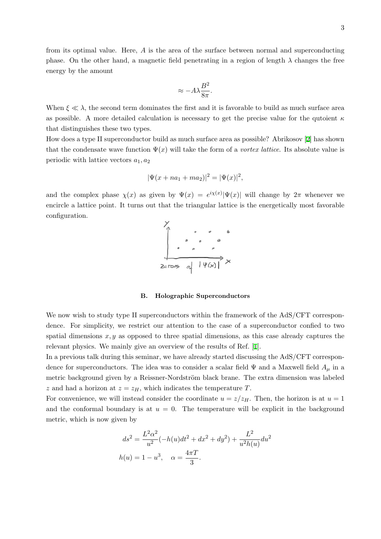from its optimal value. Here, *A* is the area of the surface between normal and superconducting phase. On the other hand, a magnetic field penetrating in a region of length  $\lambda$  changes the free energy by the amount

$$
\approx -A\lambda\frac{B^2}{8\pi}.
$$

When  $\xi \ll \lambda$ , the second term dominates the first and it is favorable to build as much surface area as possible. A more detailed calculation is necessary to get the precise value for the qutoient *κ* that distinguishes these two types.

How does a type II superconductor build as much surface area as possible? Abrikosov [2] has shown that the condensate wave function  $\Psi(x)$  will take the form of a *vortex lattice*. Its absolute value is periodic with lattice vectors *a*1*, a*<sup>2</sup>

$$
|\Psi(x+na_1+ma_2)|^2 = |\Psi(x)|^2,
$$

and the complex phase  $\chi(x)$  as given by  $\Psi(x) = e^{i\chi(x)} |\Psi(x)|$  will change by  $2\pi$  whenever we encircle a lattice point. It turns out that the triangular lattice is the energetically most favorable configuration.



## **B. Holographic Superconductors**

We now wish to study type II superconductors within the framework of the AdS/CFT correspondence. For simplicity, we restrict our attention to the case of a superconductor confied to two spatial dimensions *x, y* as opposed to three spatial dimensions, as this case already captures the relevant physics. We mainly give an overview of the results of Ref. [1].

In a previous talk during this seminar, we have already started discussing the AdS/CFT correspondence for superconductors. The idea was to consider a scalar field  $\Psi$  and a Maxwell field  $A_\mu$  in a m[e](#page-5-0)tric background given by a Reissner-Nordström black brane. The extra dimension was labeled *z* and had a horizon at  $z = z_H$ , which indicates the temperature *T*.

For convenience, we will instead consider the coordinate  $u = z/z_H$ . Then, the horizon is at  $u = 1$ and the conformal boundary is at  $u = 0$ . The temperature will be explicit in the background metric, which is now given by

$$
ds^{2} = \frac{L^{2} \alpha^{2}}{u^{2}} (-h(u)dt^{2} + dx^{2} + dy^{2}) + \frac{L^{2}}{u^{2}h(u)} du^{2}
$$

$$
h(u) = 1 - u^{3}, \quad \alpha = \frac{4\pi T}{3}.
$$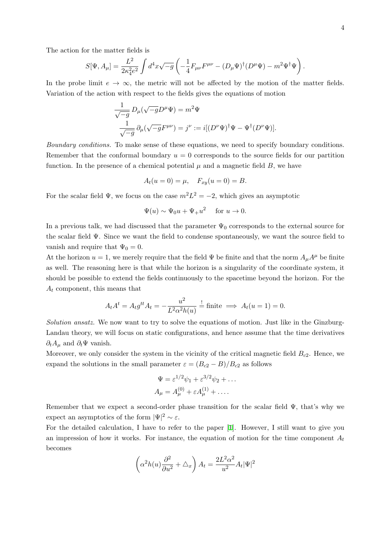The action for the matter fields is

$$
S[\Psi, A_{\mu}] = \frac{L^2}{2\kappa_4^2 e^2} \int d^4x \sqrt{-g} \left( -\frac{1}{4} F_{\mu\nu} F^{\mu\nu} - (D_{\mu} \Psi)^{\dagger} (D^{\mu} \Psi) - m^2 \Psi^{\dagger} \Psi \right).
$$

In the probe limit  $e \to \infty$ , the metric will not be affected by the motion of the matter fields. Variation of the action with respect to the fields gives the equations of motion

$$
\frac{1}{\sqrt{-g}} D_{\mu}(\sqrt{-g}D^{\mu}\Psi) = m^2\Psi
$$

$$
\frac{1}{\sqrt{-g}} \partial_{\mu}(\sqrt{-g}F^{\mu\nu}) = j^{\nu} := i[(D^{\nu}\Psi)^{\dagger}\Psi - \Psi^{\dagger}(D^{\nu}\Psi)].
$$

*Boundary conditions.* To make sense of these equations, we need to specify boundary conditions. Remember that the conformal boundary  $u = 0$  corresponds to the source fields for our partition function. In the presence of a chemical potential  $\mu$  and a magnetic field  $B$ , we have

$$
A_t(u = 0) = \mu, \quad F_{xy}(u = 0) = B.
$$

For the scalar field  $\Psi$ , we focus on the case  $m^2L^2 = -2$ , which gives an asymptotic

$$
\Psi(u) \sim \Psi_0 u + \Psi_+ u^2 \quad \text{ for } u \to 0.
$$

In a previous talk, we had discussed that the parameter  $\Psi_0$  corresponds to the external source for the scalar field  $\Psi$ . Since we want the field to condense spontaneously, we want the source field to vanish and require that  $\Psi_0 = 0$ .

At the horizon  $u = 1$ , we merely require that the field  $\Psi$  be finite and that the norm  $A_\mu A^\mu$  be finite as well. The reasoning here is that while the horizon is a singularity of the coordinate system, it should be possible to extend the fields continuously to the spacetime beyond the horizon. For the *A<sup>t</sup>* component, this means that

$$
A_t A^t = A_t g^{tt} A_t = -\frac{u^2}{L^2 \alpha^2 h(u)} \stackrel{!}{=} \text{finite} \implies A_t(u=1) = 0.
$$

*Solution ansatz.* We now want to try to solve the equations of motion. Just like in the Ginzburg-Landau theory, we will focus on static configurations, and hence assume that the time derivatives  $∂$ *<sup><i>t*</sup></sub> $A$ <sup>*µ*</sup> and  $∂$ <sup>*t*</sup> $\Psi$  vanish.

Moreover, we only consider the system in the vicinity of the critical magnetic field  $B_{c2}$ . Hence, we expand the solutions in the small parameter  $\varepsilon = (B_{c2} - B)/B_{c2}$  as follows

$$
\Psi = \varepsilon^{1/2}\psi_1 + \varepsilon^{3/2}\psi_2 + \dots
$$

$$
A_{\mu} = A_{\mu}^{(0)} + \varepsilon A_{\mu}^{(1)} + \dots
$$

Remember that we expect a second-order phase transition for the scalar field  $\Psi$ , that's why we expect an asymptotics of the form  $|\Psi|^2 \sim \varepsilon$ .

For the detailed calculation, I have to refer to the paper [1]. However, I still want to give you an impression of how it works. For instance, the equation of motion for the time component *A<sup>t</sup>* becomes

$$
\left(\alpha^2 h(u) \frac{\partial^2}{\partial u^2} + \triangle_x \right) A_t = \frac{2L^2 \alpha^2}{u^2} A_t |\Psi|^2
$$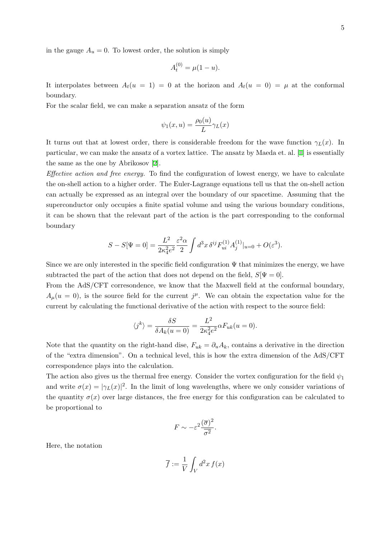in the gauge  $A_u = 0$ . To lowest order, the solution is simply

$$
A_t^{(0)} = \mu(1 - u).
$$

It interpolates between  $A_t(u = 1) = 0$  at the horizon and  $A_t(u = 0) = \mu$  at the conformal boundary.

For the scalar field, we can make a separation ansatz of the form

$$
\psi_1(x, u) = \frac{\rho_0(u)}{L} \gamma_L(x)
$$

It turns out that at lowest order, there is considerable freedom for the wave function  $\gamma_L(x)$ . In particular, we can make the ansatz of a vortex lattice. The ansatz by Maeda et. al. [1] is essentially the same as the one by Abrikosov [2].

*Effective action and free energy.* To find the configuration of lowest energy, we have to calculate the on-shell action to a higher order. The Euler-Lagrange equations tell us that the [o](#page-5-0)n-shell action can actually be expressed as an in[te](#page-5-1)gral over the boundary of our spacetime. Assuming that the superconductor only occupies a finite spatial volume and using the various boundary conditions, it can be shown that the relevant part of the action is the part corresponding to the conformal boundary

$$
S - S[\Psi = 0] = \frac{L^2}{2\kappa_4^2 e^2} \frac{\varepsilon^2 \alpha}{2} \int d^3x \, \delta^{ij} F_{ui}^{(1)} A_j^{(1)}|_{u=0} + O(\varepsilon^3).
$$

Since we are only interested in the specific field configuration  $\Psi$  that minimizes the energy, we have subtracted the part of the action that does not depend on the field,  $S[\Psi = 0]$ .

From the AdS/CFT corresondence, we know that the Maxwell field at the conformal boundary,  $A_\mu(u=0)$ , is the source field for the current  $j^\mu$ . We can obtain the expectation value for the current by calculating the functional derivative of the action with respect to the source field:

$$
\langle j^k \rangle = \frac{\delta S}{\delta A_k(u=0)} = \frac{L^2}{2\kappa_4^2 e^2} \alpha F_{uk}(u=0).
$$

Note that the quantity on the right-hand dise,  $F_{uk} = \partial_u A_k$ , contains a derivative in the direction of the "extra dimension". On a technical level, this is how the extra dimension of the AdS/CFT correspondence plays into the calculation.

The action also gives us the thermal free energy. Consider the vortex configuration for the field  $\psi_1$ and write  $\sigma(x) = |\gamma_L(x)|^2$ . In the limit of long wavelengths, where we only consider variations of the quantity  $\sigma(x)$  over large distances, the free energy for this configuration can be calculated to be proportional to

$$
F \sim -\varepsilon^2 \frac{(\overline{\sigma})^2}{\overline{\sigma^2}}.
$$

Here, the notation

$$
\overline{f} := \frac{1}{V} \int_V d^2x \, f(x)
$$